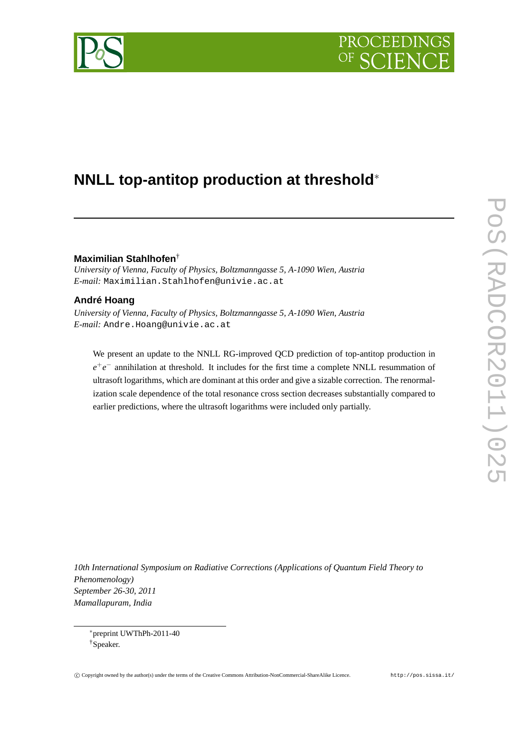

# **NNLL top-antitop production at threshold**<sup>∗</sup>

## **Maximilian Stahlhofen**†

*University of Vienna, Faculty of Physics, Boltzmanngasse 5, A-1090 Wien, Austria E-mail:* Maximilian.Stahlhofen@univie.ac.at

# **André Hoang**

*University of Vienna, Faculty of Physics, Boltzmanngasse 5, A-1090 Wien, Austria E-mail:* Andre.Hoang@univie.ac.at

We present an update to the NNLL RG-improved QCD prediction of top-antitop production in *e*<sup>+</sup>*e*<sup>−</sup> annihilation at threshold. It includes for the first time a complete NNLL resummation of ultrasoft logarithms, which are dominant at this order and give a sizable correction. The renormalization scale dependence of the total resonance cross section decreases substantially compared to earlier predictions, where the ultrasoft logarithms were included only partially.

*10th International Symposium on Radiative Corrections (Applications of Quantum Field Theory to Phenomenology) September 26-30, 2011 Mamallapuram, India*

<sup>∗</sup>preprint UWThPh-2011-40 †Speaker.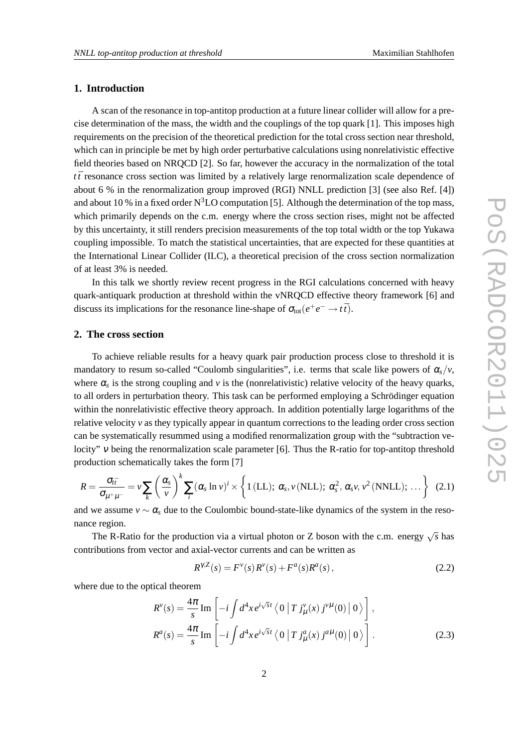### **1. Introduction**

A scan of the resonance in top-antitop production at a future linear collider will allow for a precise determination of the mass, the width and the couplings of the top quark [1]. This imposes high requirements on the precision of the theoretical prediction for the total cross section near threshold, which can in principle be met by high order perturbative calculations using nonrelativistic effective field theories based on NRQCD [2]. So far, however the accuracy in the normalization of the total *t t*¯ resonance cross section was limited by a relatively large renormalization scale dependence of about 6 % in the renormalization group improved (RGI) NNLL prediction [3] (see also Ref. [4]) and about 10 % in a fixed order  $N^3LO$  computation [5]. Although the determination of the top mass, which primarily depends on the c.m. energy where the cross section rises, might not be affected by this uncertainty, it still renders precision measurements of the top total width or the top Yukawa coupling impossible. To match the statistical uncertainties, that are expected for these quantities at the International Linear Collider (ILC), a theoretical precision of the cross section normalization of at least 3% is needed.

In this talk we shortly review recent progress in the RGI calculations concerned with heavy quark-antiquark production at threshold within the vNRQCD effective theory framework [6] and discuss its implications for the resonance line-shape of  $\sigma_{\text{tot}}(e^+e^- \to t\bar{t})$ .

#### **2. The cross section**

To achieve reliable results for a heavy quark pair production process close to threshold it is mandatory to resum so-called "Coulomb singularities", i.e. terms that scale like powers of  $\alpha_s/\nu$ , where  $\alpha_s$  is the strong coupling and  $\nu$  is the (nonrelativistic) relative velocity of the heavy quarks, to all orders in perturbation theory. This task can be performed employing a Schrödinger equation within the nonrelativistic effective theory approach. In addition potentially large logarithms of the relative velocity  $\nu$  as they typically appear in quantum corrections to the leading order cross section can be systematically resummed using a modified renormalization group with the "subtraction velocity" <sup>ν</sup> being the renormalization scale parameter [6]. Thus the R-ratio for top-antitop threshold production schematically takes the form [7]

$$
R = \frac{\sigma_{t\bar{t}}}{\sigma_{\mu^+\mu^-}} = \nu \sum_{k} \left(\frac{\alpha_s}{\nu}\right)^k \sum_{i} (\alpha_s \ln \nu)^i \times \left\{1 \text{ (LL)}; \ \alpha_s, \nu \text{ (NLL)}; \ \alpha_s^2, \alpha_s \nu, \nu^2 \text{ (NNLL)}; \ \dots \right\} \tag{2.1}
$$

and we assume  $v \sim \alpha_s$  due to the Coulombic bound-state-like dynamics of the system in the resonance region.

The R-Ratio for the production via a virtual photon or Z boson with the c.m. energy  $\sqrt{s}$  has contributions from vector and axial-vector currents and can be written as

$$
R^{\gamma, Z}(s) = F^{\nu}(s) R^{\nu}(s) + F^a(s) R^a(s), \qquad (2.2)
$$

where due to the optical theorem

$$
R^{\nu}(s) = \frac{4\pi}{s} \operatorname{Im} \left[ -i \int d^4x \, e^{i\sqrt{s}t} \left\langle 0 \left| T \, j_{\mu}^{\nu}(x) \, j^{\nu\mu}(0) \right| 0 \right\rangle \right],
$$
  

$$
R^a(s) = \frac{4\pi}{s} \operatorname{Im} \left[ -i \int d^4x \, e^{i\sqrt{s}t} \left\langle 0 \left| T \, j_{\mu}^a(x) \, j^{a\mu}(0) \right| 0 \right\rangle \right].
$$
 (2.3)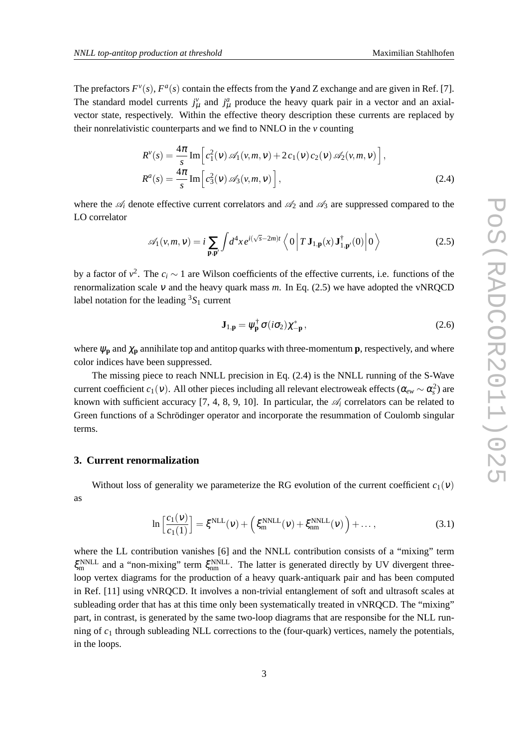The prefactors  $F^{\nu}(s)$ ,  $F^{\alpha}(s)$  contain the effects from the  $\gamma$  and Z exchange and are given in Ref. [7]. The standard model currents  $j^{\nu}_{\mu}$  and  $j^{\alpha}_{\mu}$  produce the heavy quark pair in a vector and an axialvector state, respectively. Within the effective theory description these currents are replaced by their nonrelativistic counterparts and we find to NNLO in the *v* counting

$$
R^{\nu}(s) = \frac{4\pi}{s} \operatorname{Im} \left[ c_1^2(\nu) \mathcal{A}_1(\nu, m, \nu) + 2 c_1(\nu) c_2(\nu) \mathcal{A}_2(\nu, m, \nu) \right],
$$
  
\n
$$
R^a(s) = \frac{4\pi}{s} \operatorname{Im} \left[ c_3^2(\nu) \mathcal{A}_3(\nu, m, \nu) \right],
$$
\n(2.4)

where the  $\mathcal{A}_i$  denote effective current correlators and  $\mathcal{A}_2$  and  $\mathcal{A}_3$  are suppressed compared to the LO correlator

$$
\mathscr{A}_1(v,m,v) = i \sum_{\mathbf{p},\mathbf{p}'} \int d^4x \, e^{i(\sqrt{s}-2m)t} \left\langle 0 \left| T \, \mathbf{J}_{1,\mathbf{p}}(x) \, \mathbf{J}_{1,\mathbf{p}'}^\dagger(0) \right| 0 \right\rangle \tag{2.5}
$$

by a factor of  $v^2$ . The  $c_i \sim 1$  are Wilson coefficients of the effective currents, i.e. functions of the renormalization scale  $v$  and the heavy quark mass  $m$ . In Eq. (2.5) we have adopted the vNRQCD label notation for the leading  ${}^{3}S_{1}$  current

$$
\mathbf{J}_{1,\mathbf{p}} = \psi_{\mathbf{p}}^{\dagger} \sigma(i\sigma_2) \chi_{-\mathbf{p}}^*,
$$
 (2.6)

where  $\psi_p$  and  $\chi_p$  annihilate top and antitop quarks with three-momentum **p**, respectively, and where color indices have been suppressed.

The missing piece to reach NNLL precision in Eq. (2.4) is the NNLL running of the S-Wave current coefficient *c*<sub>1</sub>(*v*). All other pieces including all relevant electroweak effects ( $\alpha_{ew} \sim \alpha_s^2$ ) are known with sufficient accuracy [7, 4, 8, 9, 10]. In particular, the  $\mathscr{A}_i$  correlators can be related to Green functions of a Schrödinger operator and incorporate the resummation of Coulomb singular terms.

### **3. Current renormalization**

Without loss of generality we parameterize the RG evolution of the current coefficient  $c_1(v)$ as

$$
\ln\left[\frac{c_1(\nu)}{c_1(1)}\right] = \xi^{\text{NLL}}(\nu) + \left(\xi^{\text{NNLL}}_{\text{m}}(\nu) + \xi^{\text{NNLL}}_{\text{nm}}(\nu)\right) + \dots,\tag{3.1}
$$

where the LL contribution vanishes [6] and the NNLL contribution consists of a "mixing" term  $\xi_{\rm m}^{\rm NNLL}$  and a "non-mixing" term  $\xi_{\rm nm}^{\rm NNLL}$ . The latter is generated directly by UV divergent threeloop vertex diagrams for the production of a heavy quark-antiquark pair and has been computed in Ref. [11] using vNRQCD. It involves a non-trivial entanglement of soft and ultrasoft scales at subleading order that has at this time only been systematically treated in vNRQCD. The "mixing" part, in contrast, is generated by the same two-loop diagrams that are responsibe for the NLL running of  $c_1$  through subleading NLL corrections to the (four-quark) vertices, namely the potentials, in the loops.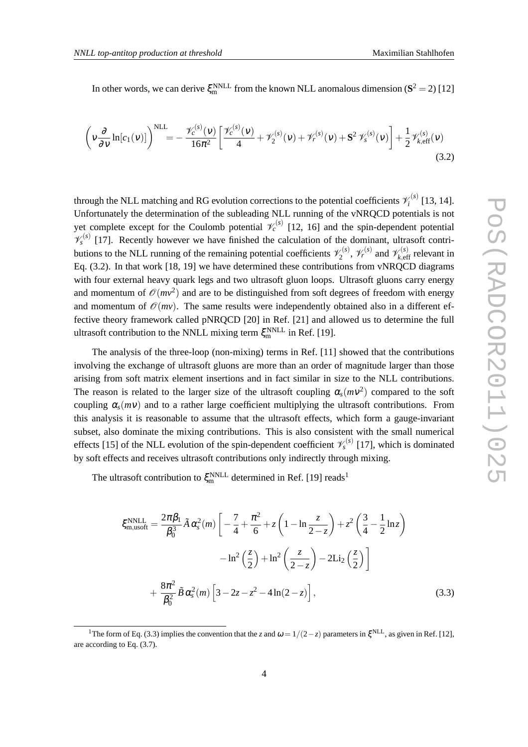In other words, we can derive  $\xi_{\rm m}^{\rm NNLL}$  from the known NLL anomalous dimension ( $\mathbf{S}^2 = 2$ ) [12]

$$
\left(v\frac{\partial}{\partial v}\ln[c_1(v)]\right)^{NLL} = -\frac{\mathcal{V}_c^{(s)}(v)}{16\pi^2} \left[\frac{\mathcal{V}_c^{(s)}(v)}{4} + \mathcal{V}_2^{(s)}(v) + \mathcal{V}_r^{(s)}(v) + \mathbf{S}^2 \mathcal{V}_s^{(s)}(v)\right] + \frac{1}{2} \mathcal{V}_{k,eff}^{(s)}(v) \tag{3.2}
$$

through the NLL matching and RG evolution corrections to the potential coefficients  $\mathcal{V}_i^{(s)}$  $\hat{i}^{(s)}$  [13, 14]. Unfortunately the determination of the subleading NLL running of the vNRQCD potentials is not yet complete except for the Coulomb potential  $\mathcal{V}_c^{(s)}$  [12, 16] and the spin-dependent potential  $\mathcal{V}_s^{(s)}$  [17]. Recently however we have finished the calculation of the dominant, ultrasoft contributions to the NLL running of the remaining potential coefficients  $\mathscr{V}_2^{(s)}$  $\gamma_2^{(s)}$ ,  $\mathcal{V}_r^{(s)}$  and  $\mathcal{V}_{k, \text{eff}}^{(s)}$  relevant in Eq. (3.2). In that work [18, 19] we have determined these contributions from vNRQCD diagrams with four external heavy quark legs and two ultrasoft gluon loops. Ultrasoft gluons carry energy and momentum of  $\mathcal{O}(mv^2)$  and are to be distinguished from soft degrees of freedom with energy and momentum of  $\mathcal{O}(mv)$ . The same results were independently obtained also in a different effective theory framework called pNRQCD [20] in Ref. [21] and allowed us to determine the full ultrasoft contribution to the NNLL mixing term  $\xi_{\rm m}^{\rm NNLL}$  in Ref. [19].

The analysis of the three-loop (non-mixing) terms in Ref. [11] showed that the contributions involving the exchange of ultrasoft gluons are more than an order of magnitude larger than those arising from soft matrix element insertions and in fact similar in size to the NLL contributions. The reason is related to the larger size of the ultrasoft coupling  $\alpha_s(mv^2)$  compared to the soft coupling  $\alpha_s(mv)$  and to a rather large coefficient multiplying the ultrasoft contributions. From this analysis it is reasonable to assume that the ultrasoft effects, which form a gauge-invariant subset, also dominate the mixing contributions. This is also consistent with the small numerical effects [15] of the NLL evolution of the spin-dependent coefficient  $\mathcal{V}_s^{(s)}$  [17], which is dominated by soft effects and receives ultrasoft contributions only indirectly through mixing.

The ultrasoft contribution to  $\xi_{\rm m}^{\rm NNLL}$  determined in Ref. [19] reads<sup>1</sup>

$$
\xi_{\text{m,usoft}}^{\text{NNLL}} = \frac{2\pi\beta_1}{\beta_0^3} \tilde{A} \alpha_s^2(m) \left[ -\frac{7}{4} + \frac{\pi^2}{6} + z \left( 1 - \ln \frac{z}{2 - z} \right) + z^2 \left( \frac{3}{4} - \frac{1}{2} \ln z \right) -\ln^2 \left( \frac{z}{2} \right) + \ln^2 \left( \frac{z}{2 - z} \right) - 2 \text{Li}_2 \left( \frac{z}{2} \right) \right] + \frac{8\pi^2}{\beta_0^2} \tilde{B} \alpha_s^2(m) \left[ 3 - 2z - z^2 - 4 \ln(2 - z) \right],
$$
\n(3.3)

<sup>&</sup>lt;sup>1</sup>The form of Eq. (3.3) implies the convention that the *z* and  $\omega = 1/(2 - z)$  parameters in  $\xi$ <sup>NLL</sup>, as given in Ref. [12], are according to Eq. (3.7).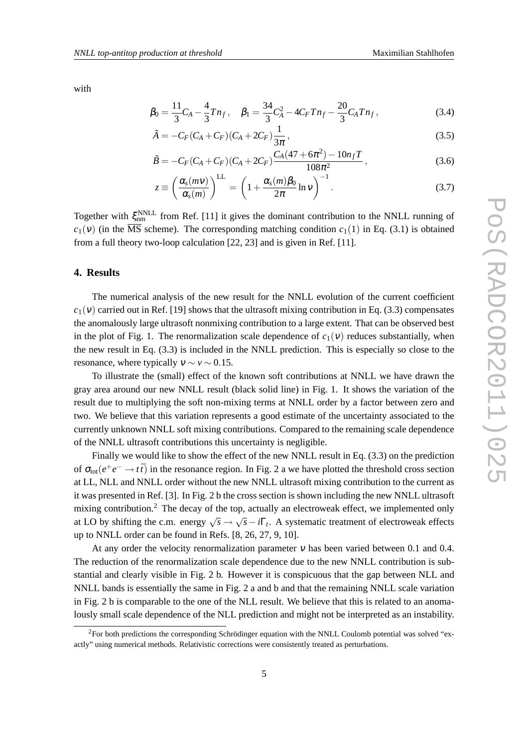with

$$
\beta_0 = \frac{11}{3}C_A - \frac{4}{3}Tn_f, \quad \beta_1 = \frac{34}{3}C_A^2 - 4C_F Tn_f - \frac{20}{3}C_A Tn_f, \tag{3.4}
$$

$$
\tilde{A} = -C_F (C_A + C_F) (C_A + 2C_F) \frac{1}{3\pi},
$$
\n(3.5)

$$
\tilde{B} = -C_F(C_A + C_F)(C_A + 2C_F)\frac{C_A(47 + 6\pi^2) - 10n_f T}{108\pi^2},
$$
\n(3.6)

$$
z \equiv \left(\frac{\alpha_s(mv)}{\alpha_s(m)}\right)^{\text{LL}} = \left(1 + \frac{\alpha_s(m)\beta_0}{2\pi}\ln v\right)^{-1}.
$$
 (3.7)

Together with  $\xi_{nm}^{NNLL}$  from Ref. [11] it gives the dominant contribution to the NNLL running of  $c_1(v)$  (in the  $\overline{\text{MS}}$  scheme). The corresponding matching condition  $c_1(1)$  in Eq. (3.1) is obtained from a full theory two-loop calculation [22, 23] and is given in Ref. [11].

#### **4. Results**

The numerical analysis of the new result for the NNLL evolution of the current coefficient  $c_1(v)$  carried out in Ref. [19] shows that the ultrasoft mixing contribution in Eq. (3.3) compensates the anomalously large ultrasoft nonmixing contribution to a large extent. That can be observed best in the plot of Fig. 1. The renormalization scale dependence of  $c_1(v)$  reduces substantially, when the new result in Eq. (3.3) is included in the NNLL prediction. This is especially so close to the resonance, where typically  $v \sim v \sim 0.15$ .

To illustrate the (small) effect of the known soft contributions at NNLL we have drawn the gray area around our new NNLL result (black solid line) in Fig. 1. It shows the variation of the result due to multiplying the soft non-mixing terms at NNLL order by a factor between zero and two. We believe that this variation represents a good estimate of the uncertainty associated to the currently unknown NNLL soft mixing contributions. Compared to the remaining scale dependence of the NNLL ultrasoft contributions this uncertainty is negligible.

Finally we would like to show the effect of the new NNLL result in Eq. (3.3) on the prediction of  $\sigma_{tot}(e^+e^- \to t\bar{t})$  in the resonance region. In Fig. 2 a we have plotted the threshold cross section at LL, NLL and NNLL order without the new NNLL ultrasoft mixing contribution to the current as it was presented in Ref. [3]. In Fig. 2 b the cross section is shown including the new NNLL ultrasoft mixing contribution.<sup>2</sup> The decay of the top, actually an electroweak effect, we implemented only at LO by shifting the c.m. energy  $\sqrt{s} \rightarrow \sqrt{s} - i\Gamma_t$ . A systematic treatment of electroweak effects up to NNLL order can be found in Refs. [8, 26, 27, 9, 10].

At any order the velocity renormalization parameter  $\nu$  has been varied between 0.1 and 0.4. The reduction of the renormalization scale dependence due to the new NNLL contribution is substantial and clearly visible in Fig. 2 b. However it is conspicuous that the gap between NLL and NNLL bands is essentially the same in Fig. 2 a and b and that the remaining NNLL scale variation in Fig. 2 b is comparable to the one of the NLL result. We believe that this is related to an anomalously small scale dependence of the NLL prediction and might not be interpreted as an instability.

 ${}^{2}$ For both predictions the corresponding Schrödinger equation with the NNLL Coulomb potential was solved "exactly" using numerical methods. Relativistic corrections were consistently treated as perturbations.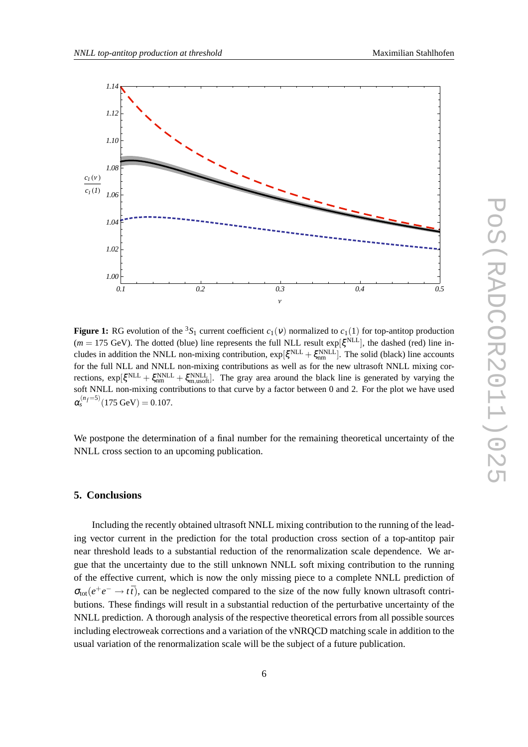

**Figure 1:** RG evolution of the <sup>3</sup>S<sub>1</sub> current coefficient  $c_1(v)$  normalized to  $c_1(1)$  for top-antitop production  $(m = 175 \text{ GeV})$ . The dotted (blue) line represents the full NLL result exp $[\xi^{\text{NLL}}]$ , the dashed (red) line includes in addition the NNLL non-mixing contribution,  $\exp[\xi^{NLL} + \xi_{nm}^{NNL}]$ . The solid (black) line accounts for the full NLL and NNLL non-mixing contributions as well as for the new ultrasoft NNLL mixing corrections,  $\exp[\xi^{NLL} + \xi_{nm}^{NNLL} + \xi_{m,\text{usoff}}^{NNLL}]$ . The gray area around the black line is generated by varying the soft NNLL non-mixing contributions to that curve by a factor between 0 and 2. For the plot we have used  $\alpha_s^{(n_f=5)}(175 \text{ GeV}) = 0.107.$ 

We postpone the determination of a final number for the remaining theoretical uncertainty of the NNLL cross section to an upcoming publication.

#### **5. Conclusions**

Including the recently obtained ultrasoft NNLL mixing contribution to the running of the leading vector current in the prediction for the total production cross section of a top-antitop pair near threshold leads to a substantial reduction of the renormalization scale dependence. We argue that the uncertainty due to the still unknown NNLL soft mixing contribution to the running of the effective current, which is now the only missing piece to a complete NNLL prediction of  $\sigma_{tot}(e^+e^- \to t\bar{t})$ , can be neglected compared to the size of the now fully known ultrasoft contributions. These findings will result in a substantial reduction of the perturbative uncertainty of the NNLL prediction. A thorough analysis of the respective theoretical errors from all possible sources including electroweak corrections and a variation of the vNRQCD matching scale in addition to the usual variation of the renormalization scale will be the subject of a future publication.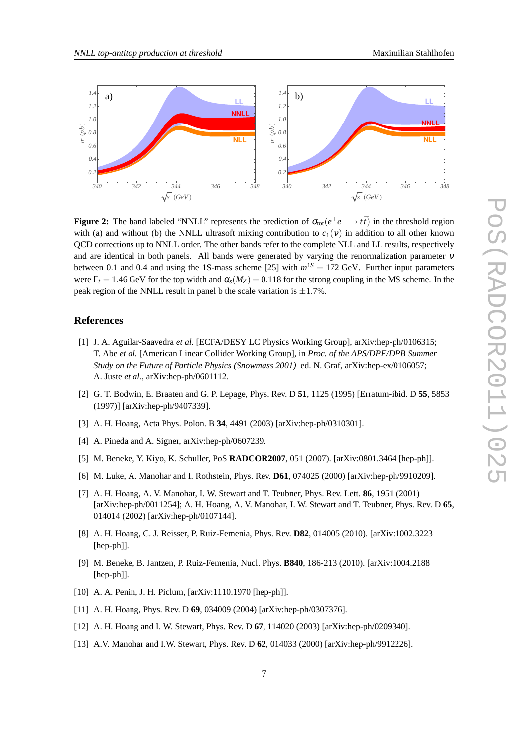

**Figure 2:** The band labeled "NNLL" represents the prediction of  $\sigma_{\text{tot}}(e^+e^- \to t\bar{t})$  in the threshold region with (a) and without (b) the NNLL ultrasoft mixing contribution to  $c_1(v)$  in addition to all other known QCD corrections up to NNLL order. The other bands refer to the complete NLL and LL results, respectively and are identical in both panels. All bands were generated by varying the renormalization parameter <sup>ν</sup> between 0.1 and 0.4 and using the 1S-mass scheme [25] with  $m^{1S} = 172$  GeV. Further input parameters were  $\Gamma_t = 1.46$  GeV for the top width and  $\alpha_s(M_Z) = 0.118$  for the strong coupling in the  $\overline{\text{MS}}$  scheme. In the peak region of the NNLL result in panel b the scale variation is  $\pm 1.7\%$ .

#### **References**

- [1] J. A. Aguilar-Saavedra *et al.* [ECFA/DESY LC Physics Working Group], arXiv:hep-ph/0106315; T. Abe *et al.* [American Linear Collider Working Group], in *Proc. of the APS/DPF/DPB Summer Study on the Future of Particle Physics (Snowmass 2001)* ed. N. Graf, arXiv:hep-ex/0106057; A. Juste *et al.*, arXiv:hep-ph/0601112.
- [2] G. T. Bodwin, E. Braaten and G. P. Lepage, Phys. Rev. D **51**, 1125 (1995) [Erratum-ibid. D **55**, 5853 (1997)] [arXiv:hep-ph/9407339].
- [3] A. H. Hoang, Acta Phys. Polon. B **34**, 4491 (2003) [arXiv:hep-ph/0310301].
- [4] A. Pineda and A. Signer, arXiv:hep-ph/0607239.
- [5] M. Beneke, Y. Kiyo, K. Schuller, PoS **RADCOR2007**, 051 (2007). [arXiv:0801.3464 [hep-ph]].
- [6] M. Luke, A. Manohar and I. Rothstein, Phys. Rev. **D61**, 074025 (2000) [arXiv:hep-ph/9910209].
- [7] A. H. Hoang, A. V. Manohar, I. W. Stewart and T. Teubner, Phys. Rev. Lett. **86**, 1951 (2001) [arXiv:hep-ph/0011254]; A. H. Hoang, A. V. Manohar, I. W. Stewart and T. Teubner, Phys. Rev. D **65**, 014014 (2002) [arXiv:hep-ph/0107144].
- [8] A. H. Hoang, C. J. Reisser, P. Ruiz-Femenia, Phys. Rev. **D82**, 014005 (2010). [arXiv:1002.3223 [hep-ph]].
- [9] M. Beneke, B. Jantzen, P. Ruiz-Femenia, Nucl. Phys. **B840**, 186-213 (2010). [arXiv:1004.2188 [hep-ph]].
- [10] A. A. Penin, J. H. Piclum, [arXiv:1110.1970 [hep-ph]].
- [11] A. H. Hoang, Phys. Rev. D **69**, 034009 (2004) [arXiv:hep-ph/0307376].
- [12] A. H. Hoang and I. W. Stewart, Phys. Rev. D **67**, 114020 (2003) [arXiv:hep-ph/0209340].
- [13] A.V. Manohar and I.W. Stewart, Phys. Rev. D **62**, 014033 (2000) [arXiv:hep-ph/9912226].